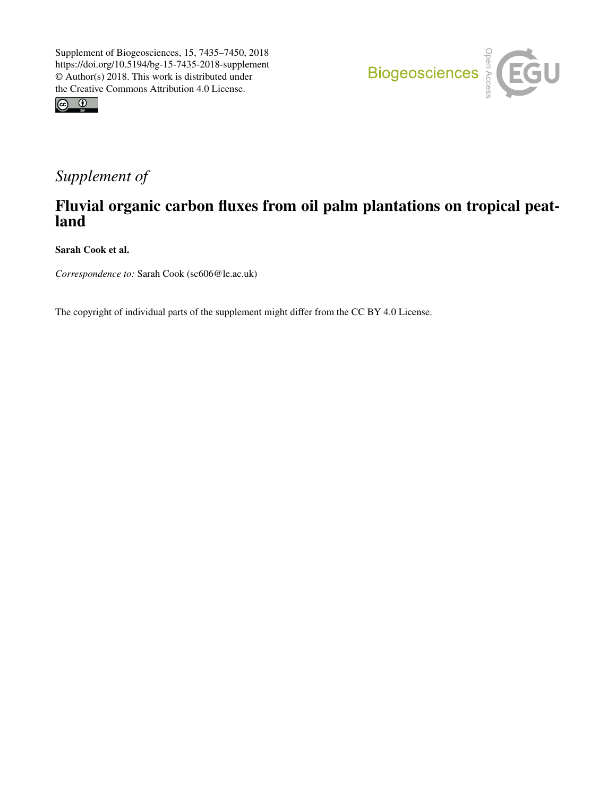



# *Supplement of*

## Fluvial organic carbon fluxes from oil palm plantations on tropical peatland

Sarah Cook et al.

*Correspondence to:* Sarah Cook (sc606@le.ac.uk)

The copyright of individual parts of the supplement might differ from the CC BY 4.0 License.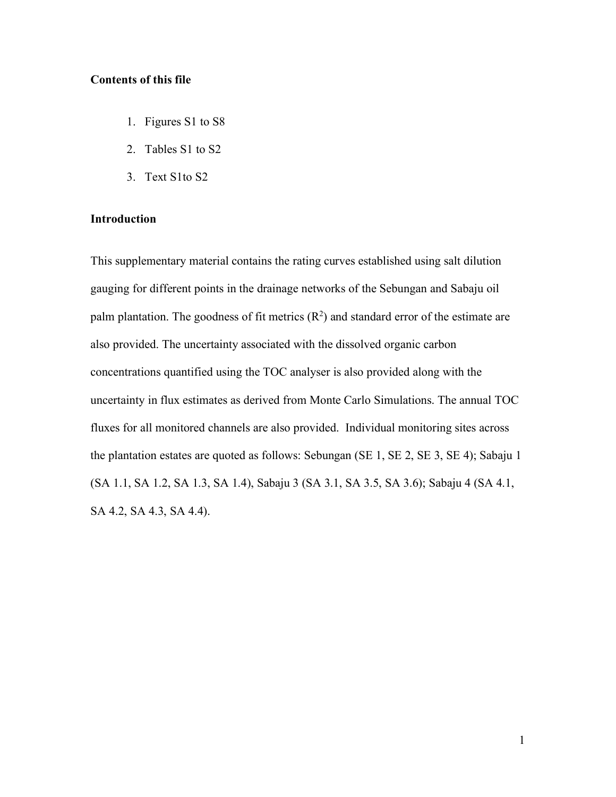#### **Contents of this file**

- 1. Figures S1 to S8
- 2. Tables S1 to S2
- 3. Text S1to S2

#### **Introduction**

This supplementary material contains the rating curves established using salt dilution gauging for different points in the drainage networks of the Sebungan and Sabaju oil palm plantation. The goodness of fit metrics  $(R^2)$  and standard error of the estimate are also provided. The uncertainty associated with the dissolved organic carbon concentrations quantified using the TOC analyser is also provided along with the uncertainty in flux estimates as derived from Monte Carlo Simulations. The annual TOC fluxes for all monitored channels are also provided. Individual monitoring sites across the plantation estates are quoted as follows: Sebungan (SE 1, SE 2, SE 3, SE 4); Sabaju 1 (SA 1.1, SA 1.2, SA 1.3, SA 1.4), Sabaju 3 (SA 3.1, SA 3.5, SA 3.6); Sabaju 4 (SA 4.1, SA 4.2, SA 4.3, SA 4.4).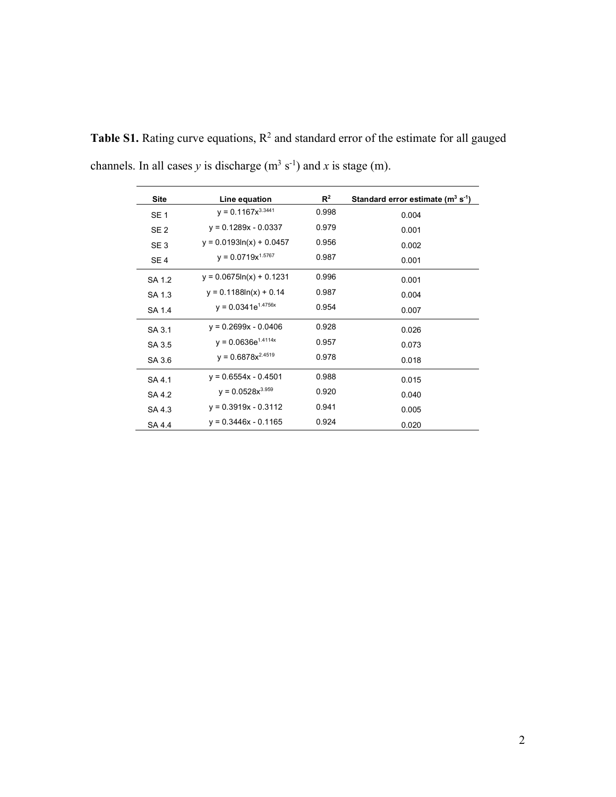| <b>Site</b>     | Line equation               | $R^2$ | Standard error estimate $(m^3 s^{-1})$ |
|-----------------|-----------------------------|-------|----------------------------------------|
| SE <sub>1</sub> | $y = 0.1167x^{3.3441}$      | 0.998 | 0.004                                  |
| SE <sub>2</sub> | $y = 0.1289x - 0.0337$      | 0.979 | 0.001                                  |
| SE <sub>3</sub> | $y = 0.0193\ln(x) + 0.0457$ | 0.956 | 0.002                                  |
| SE <sub>4</sub> | $y = 0.0719x^{1.5767}$      | 0.987 | 0.001                                  |
| SA 1.2          | $y = 0.0675\ln(x) + 0.1231$ | 0.996 | 0.001                                  |
| SA 1.3          | $y = 0.1188\ln(x) + 0.14$   | 0.987 | 0.004                                  |
| SA 1.4          | $y = 0.0341e^{1.4756x}$     | 0.954 | 0.007                                  |
| SA 3.1          | $y = 0.2699x - 0.0406$      | 0.928 | 0.026                                  |
| SA 3.5          | $y = 0.0636e^{1.4114x}$     | 0.957 | 0.073                                  |
| SA 3.6          | $y = 0.6878x^{2.4519}$      | 0.978 | 0.018                                  |
| SA 4.1          | $y = 0.6554x - 0.4501$      | 0.988 | 0.015                                  |
| SA 4.2          | $y = 0.0528x^{3.959}$       | 0.920 | 0.040                                  |
| SA 4.3          | $y = 0.3919x - 0.3112$      | 0.941 | 0.005                                  |
| SA 4.4          | $y = 0.3446x - 0.1165$      | 0.924 | 0.020                                  |

**Table S1.** Rating curve equations,  $R^2$  and standard error of the estimate for all gauged channels. In all cases *y* is discharge  $(m^3 s^{-1})$  and *x* is stage  $(m)$ .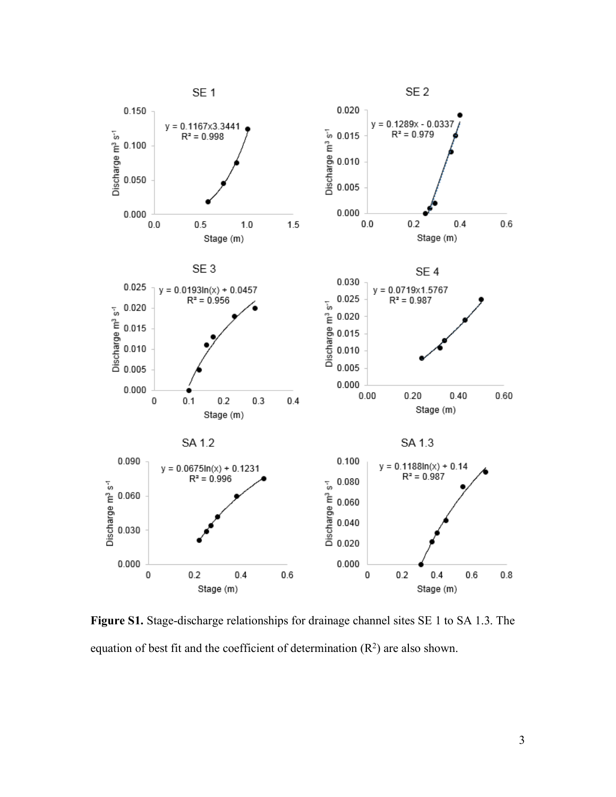

**Figure S1.** Stage-discharge relationships for drainage channel sites SE 1 to SA 1.3. The equation of best fit and the coefficient of determination  $(R^2)$  are also shown.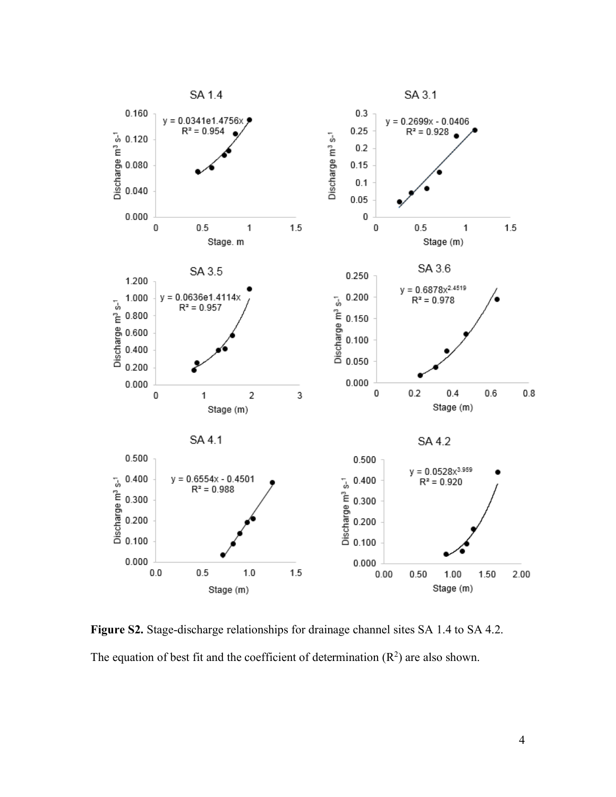

**Figure S2.** Stage-discharge relationships for drainage channel sites SA 1.4 to SA 4.2. The equation of best fit and the coefficient of determination  $(R^2)$  are also shown.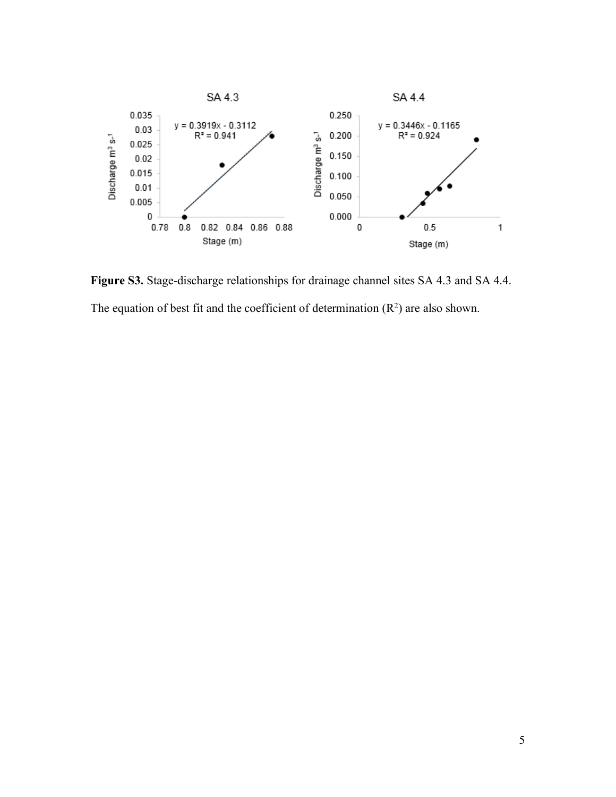

**Figure S3.** Stage-discharge relationships for drainage channel sites SA 4.3 and SA 4.4. The equation of best fit and the coefficient of determination  $(R^2)$  are also shown.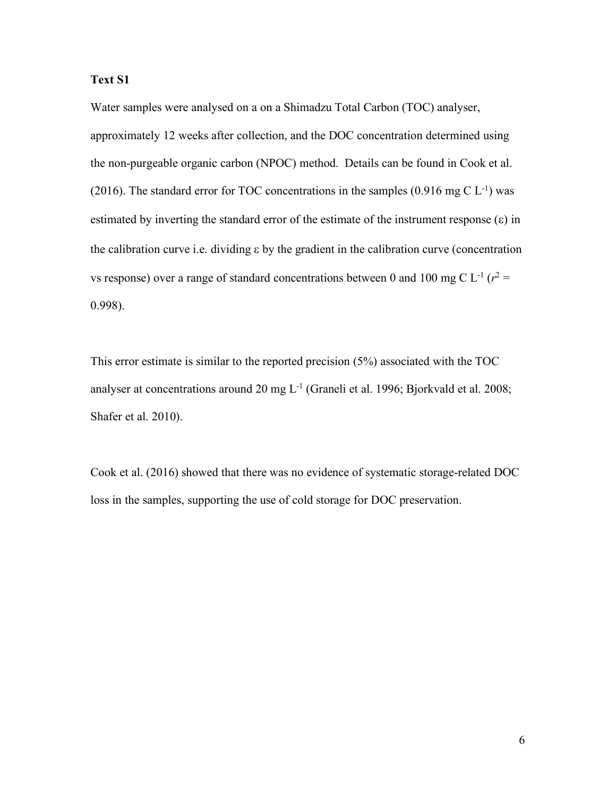#### **Text S1**

Water samples were analysed on a on a Shimadzu Total Carbon (TOC) analyser,

approximately 12 weeks after collection, and the DOC concentration determined using the non-purgeable organic carbon (NPOC) method. Details can be found in Cook et al. (2016). The standard error for TOC concentrations in the samples  $(0.916 \text{ mg C L}^{-1})$  was estimated by inverting the standard error of the estimate of the instrument response  $(\epsilon)$  in the calibration curve i.e. dividing  $\varepsilon$  by the gradient in the calibration curve (concentration vs response) over a range of standard concentrations between 0 and 100 mg C  $L^{-1}$  ( $r^2$  = 0.998).

This error estimate is similar to the reported precision (5%) associated with the TOC analyser at concentrations around 20 mg  $L<sup>-1</sup>$  (Graneli et al. 1996; Bjorkvald et al. 2008; Shafer et al. 2010).

Cook et al. (2016) showed that there was no evidence of systematic storage-related DOC loss in the samples, supporting the use of cold storage for DOC preservation.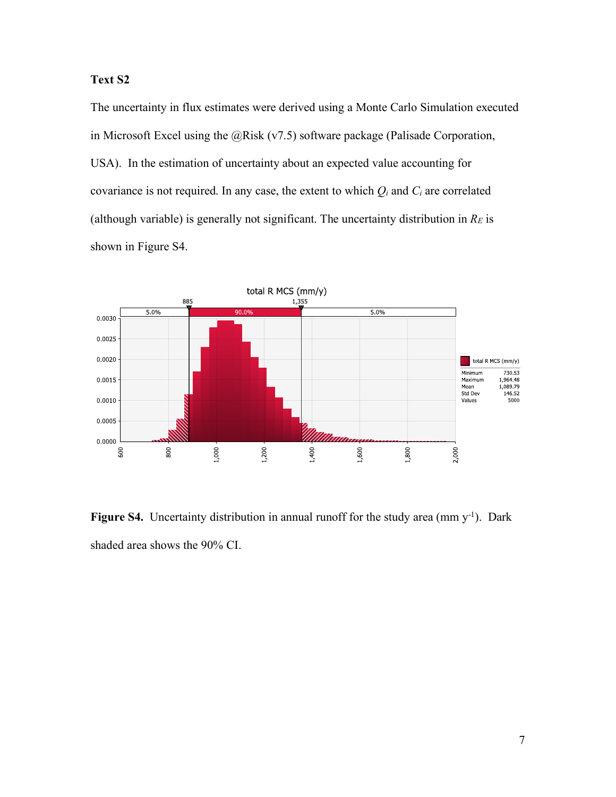### **Text S2**

The uncertainty in flux estimates were derived using a Monte Carlo Simulation executed in Microsoft Excel using the @Risk (v7.5) software package (Palisade Corporation, USA). In the estimation of uncertainty about an expected value accounting for covariance is not required. In any case, the extent to which  $Q_i$  and  $C_i$  are correlated (although variable) is generally not significant. The uncertainty distribution in  $R_E$  is shown in Figure S4.



Figure S4. Uncertainty distribution in annual runoff for the study area (mm y<sup>-1</sup>). Dark shaded area shows the 90% CI.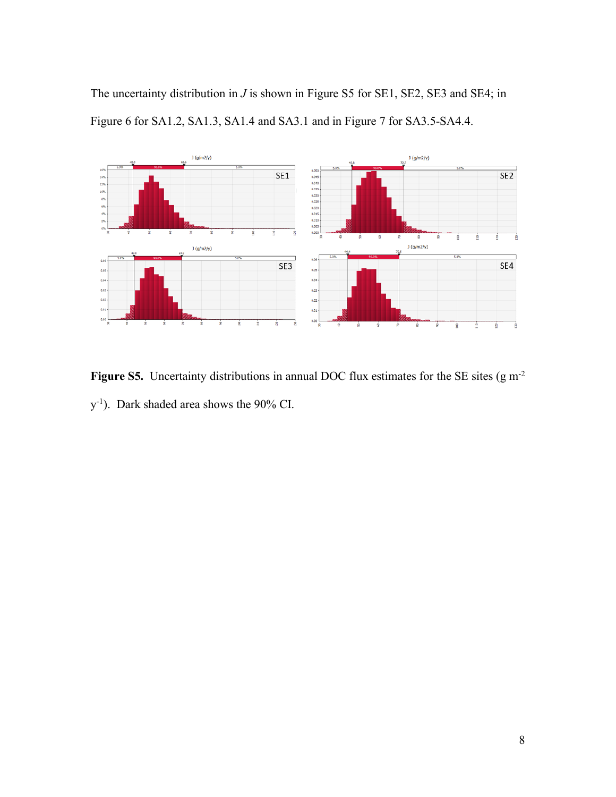The uncertainty distribution in *J* is shown in Figure S5 for SE1, SE2, SE3 and SE4; in Figure 6 for SA1.2, SA1.3, SA1.4 and SA3.1 and in Figure 7 for SA3.5-SA4.4.



Figure S5. Uncertainty distributions in annual DOC flux estimates for the SE sites (g m<sup>-2</sup> y-1 ). Dark shaded area shows the 90% CI.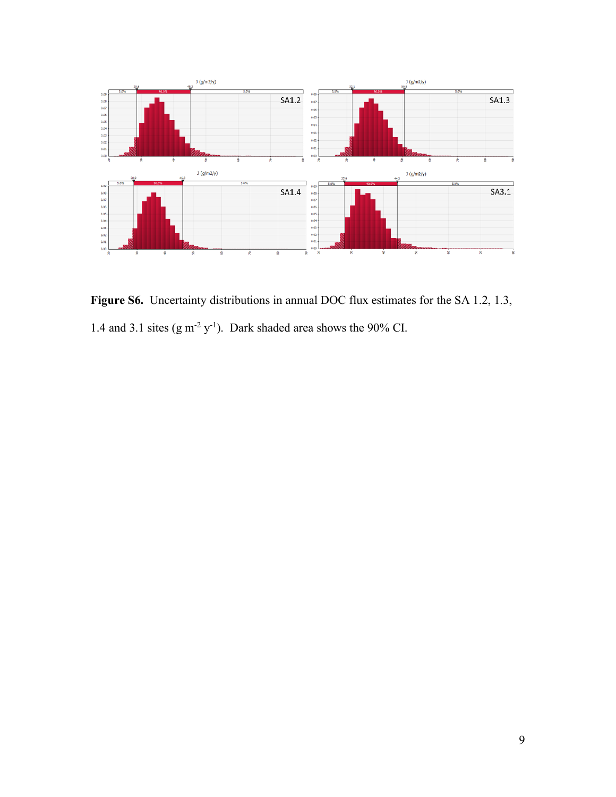

Figure S6. Uncertainty distributions in annual DOC flux estimates for the SA 1.2, 1.3, 1.4 and 3.1 sites  $(g m^{-2} y^{-1})$ . Dark shaded area shows the 90% CI.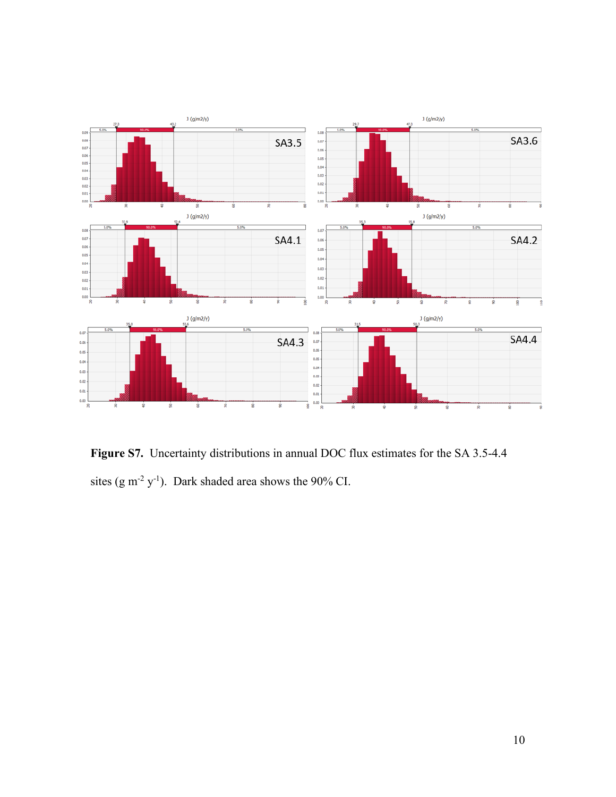

**Figure S7.** Uncertainty distributions in annual DOC flux estimates for the SA 3.5-4.4 sites  $(g m^{-2} y^{-1})$ . Dark shaded area shows the 90% CI.